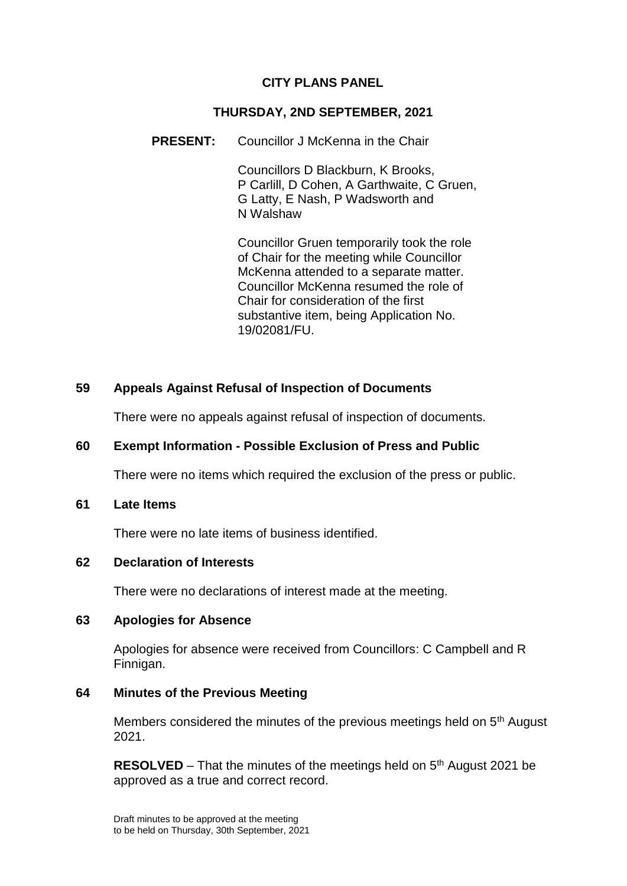# **CITY PLANS PANEL**

### **THURSDAY, 2ND SEPTEMBER, 2021**

#### **PRESENT:** Councillor J McKenna in the Chair

Councillors D Blackburn, K Brooks, P Carlill, D Cohen, A Garthwaite, C Gruen, G Latty, E Nash, P Wadsworth and N Walshaw

Councillor Gruen temporarily took the role of Chair for the meeting while Councillor McKenna attended to a separate matter. Councillor McKenna resumed the role of Chair for consideration of the first substantive item, being Application No. 19/02081/FU.

### **59 Appeals Against Refusal of Inspection of Documents**

There were no appeals against refusal of inspection of documents.

# **60 Exempt Information - Possible Exclusion of Press and Public**

There were no items which required the exclusion of the press or public.

#### **61 Late Items**

There were no late items of business identified.

### **62 Declaration of Interests**

There were no declarations of interest made at the meeting.

#### **63 Apologies for Absence**

Apologies for absence were received from Councillors: C Campbell and R Finnigan.

### **64 Minutes of the Previous Meeting**

Members considered the minutes of the previous meetings held on 5<sup>th</sup> August 2021.

**RESOLVED** – That the minutes of the meetings held on 5<sup>th</sup> August 2021 be approved as a true and correct record.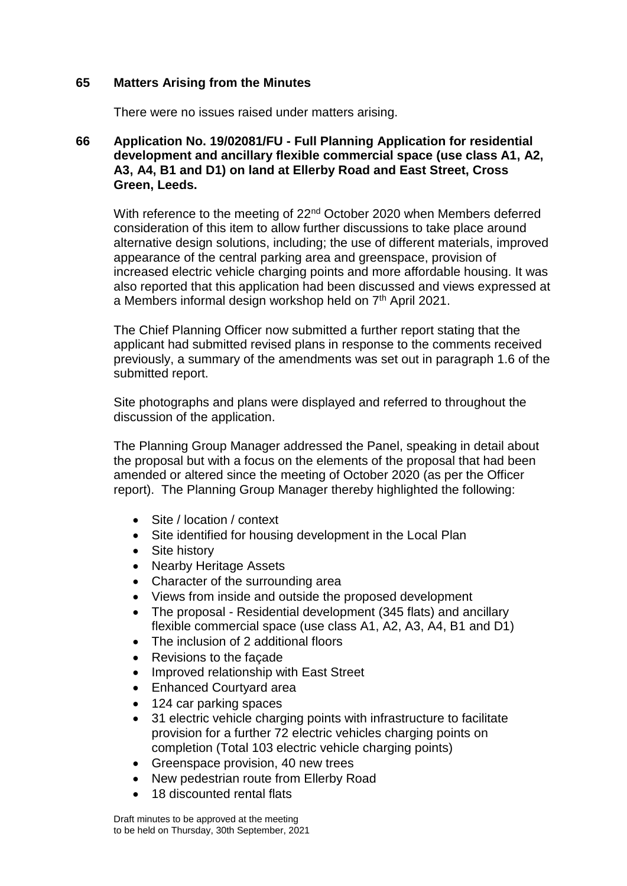### **65 Matters Arising from the Minutes**

There were no issues raised under matters arising.

### **66 Application No. 19/02081/FU - Full Planning Application for residential development and ancillary flexible commercial space (use class A1, A2, A3, A4, B1 and D1) on land at Ellerby Road and East Street, Cross Green, Leeds.**

With reference to the meeting of 22<sup>nd</sup> October 2020 when Members deferred consideration of this item to allow further discussions to take place around alternative design solutions, including; the use of different materials, improved appearance of the central parking area and greenspace, provision of increased electric vehicle charging points and more affordable housing. It was also reported that this application had been discussed and views expressed at a Members informal design workshop held on 7<sup>th</sup> April 2021.

The Chief Planning Officer now submitted a further report stating that the applicant had submitted revised plans in response to the comments received previously, a summary of the amendments was set out in paragraph 1.6 of the submitted report.

Site photographs and plans were displayed and referred to throughout the discussion of the application.

The Planning Group Manager addressed the Panel, speaking in detail about the proposal but with a focus on the elements of the proposal that had been amended or altered since the meeting of October 2020 (as per the Officer report). The Planning Group Manager thereby highlighted the following:

- Site / location / context
- Site identified for housing development in the Local Plan
- Site history
- Nearby Heritage Assets
- Character of the surrounding area
- Views from inside and outside the proposed development
- The proposal Residential development (345 flats) and ancillary flexible commercial space (use class A1, A2, A3, A4, B1 and D1)
- The inclusion of 2 additional floors
- Revisions to the facade
- Improved relationship with East Street
- Enhanced Courtvard area
- 124 car parking spaces
- 31 electric vehicle charging points with infrastructure to facilitate provision for a further 72 electric vehicles charging points on completion (Total 103 electric vehicle charging points)
- Greenspace provision, 40 new trees
- New pedestrian route from Ellerby Road
- 18 discounted rental flats

Draft minutes to be approved at the meeting to be held on Thursday, 30th September, 2021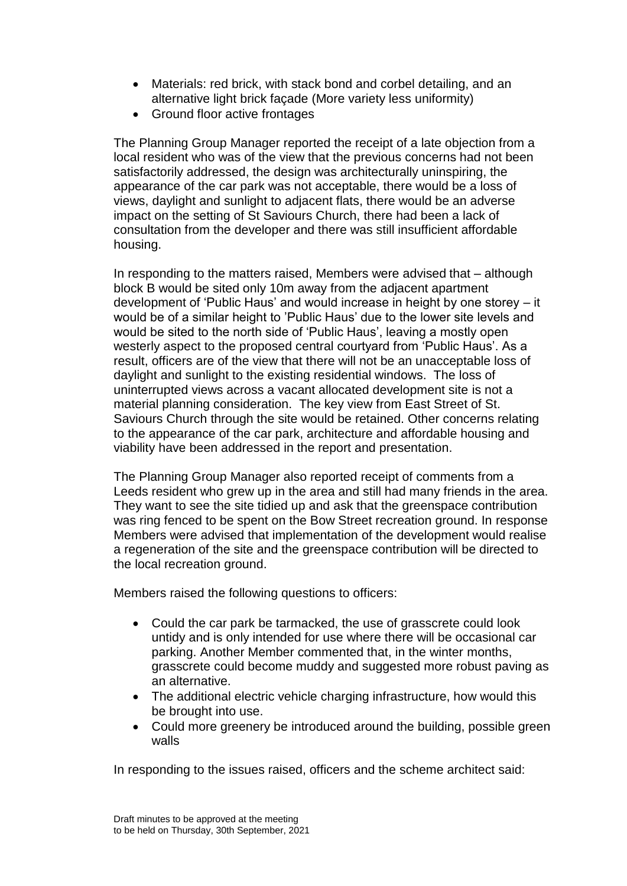- Materials: red brick, with stack bond and corbel detailing, and an alternative light brick façade (More variety less uniformity)
- Ground floor active frontages

The Planning Group Manager reported the receipt of a late objection from a local resident who was of the view that the previous concerns had not been satisfactorily addressed, the design was architecturally uninspiring, the appearance of the car park was not acceptable, there would be a loss of views, daylight and sunlight to adjacent flats, there would be an adverse impact on the setting of St Saviours Church, there had been a lack of consultation from the developer and there was still insufficient affordable housing.

In responding to the matters raised, Members were advised that – although block B would be sited only 10m away from the adjacent apartment development of 'Public Haus' and would increase in height by one storey – it would be of a similar height to 'Public Haus' due to the lower site levels and would be sited to the north side of 'Public Haus', leaving a mostly open westerly aspect to the proposed central courtyard from 'Public Haus'. As a result, officers are of the view that there will not be an unacceptable loss of daylight and sunlight to the existing residential windows. The loss of uninterrupted views across a vacant allocated development site is not a material planning consideration. The key view from East Street of St. Saviours Church through the site would be retained. Other concerns relating to the appearance of the car park, architecture and affordable housing and viability have been addressed in the report and presentation.

The Planning Group Manager also reported receipt of comments from a Leeds resident who grew up in the area and still had many friends in the area. They want to see the site tidied up and ask that the greenspace contribution was ring fenced to be spent on the Bow Street recreation ground. In response Members were advised that implementation of the development would realise a regeneration of the site and the greenspace contribution will be directed to the local recreation ground.

Members raised the following questions to officers:

- Could the car park be tarmacked, the use of grasscrete could look untidy and is only intended for use where there will be occasional car parking. Another Member commented that, in the winter months, grasscrete could become muddy and suggested more robust paving as an alternative.
- The additional electric vehicle charging infrastructure, how would this be brought into use.
- Could more greenery be introduced around the building, possible green walls

In responding to the issues raised, officers and the scheme architect said: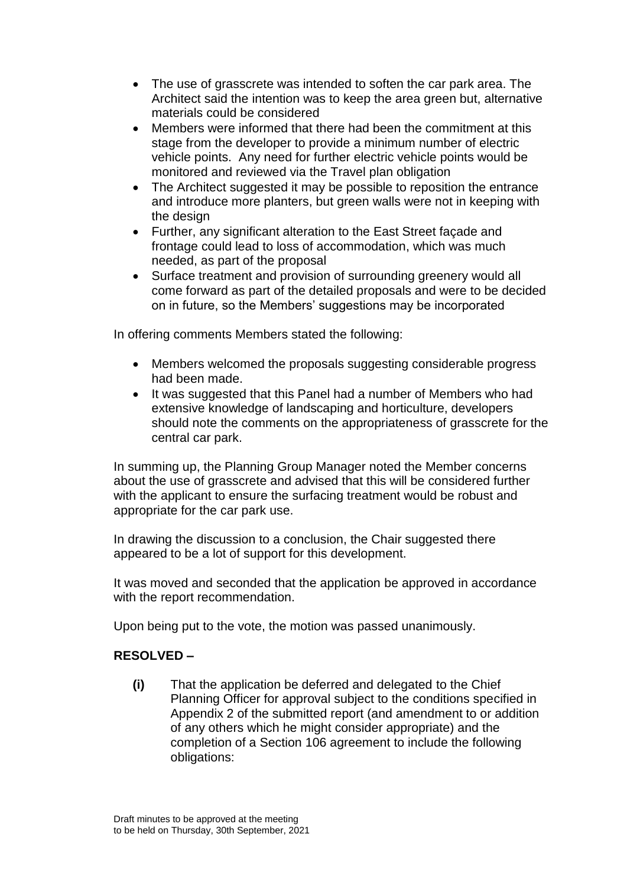- The use of grasscrete was intended to soften the car park area. The Architect said the intention was to keep the area green but, alternative materials could be considered
- Members were informed that there had been the commitment at this stage from the developer to provide a minimum number of electric vehicle points. Any need for further electric vehicle points would be monitored and reviewed via the Travel plan obligation
- The Architect suggested it may be possible to reposition the entrance and introduce more planters, but green walls were not in keeping with the design
- Further, any significant alteration to the East Street façade and frontage could lead to loss of accommodation, which was much needed, as part of the proposal
- Surface treatment and provision of surrounding greenery would all come forward as part of the detailed proposals and were to be decided on in future, so the Members' suggestions may be incorporated

In offering comments Members stated the following:

- Members welcomed the proposals suggesting considerable progress had been made.
- It was suggested that this Panel had a number of Members who had extensive knowledge of landscaping and horticulture, developers should note the comments on the appropriateness of grasscrete for the central car park.

In summing up, the Planning Group Manager noted the Member concerns about the use of grasscrete and advised that this will be considered further with the applicant to ensure the surfacing treatment would be robust and appropriate for the car park use.

In drawing the discussion to a conclusion, the Chair suggested there appeared to be a lot of support for this development.

It was moved and seconded that the application be approved in accordance with the report recommendation.

Upon being put to the vote, the motion was passed unanimously.

# **RESOLVED –**

**(i)** That the application be deferred and delegated to the Chief Planning Officer for approval subject to the conditions specified in Appendix 2 of the submitted report (and amendment to or addition of any others which he might consider appropriate) and the completion of a Section 106 agreement to include the following obligations: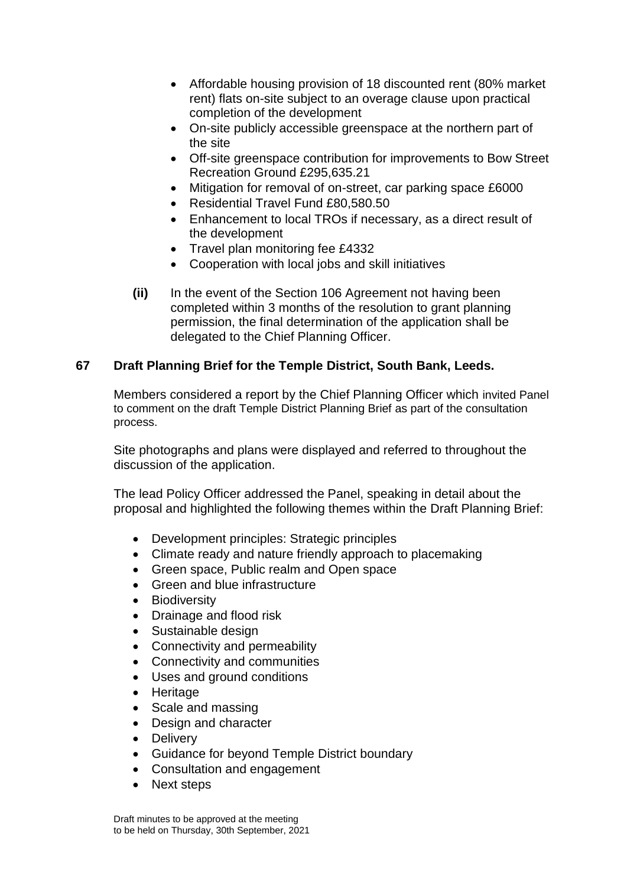- Affordable housing provision of 18 discounted rent (80% market rent) flats on-site subject to an overage clause upon practical completion of the development
- On-site publicly accessible greenspace at the northern part of the site
- Off-site greenspace contribution for improvements to Bow Street Recreation Ground £295,635.21
- Mitigation for removal of on-street, car parking space £6000
- Residential Travel Fund £80,580,50
- Enhancement to local TROs if necessary, as a direct result of the development
- Travel plan monitoring fee £4332
- Cooperation with local jobs and skill initiatives
- **(ii)** In the event of the Section 106 Agreement not having been completed within 3 months of the resolution to grant planning permission, the final determination of the application shall be delegated to the Chief Planning Officer.

# **67 Draft Planning Brief for the Temple District, South Bank, Leeds.**

Members considered a report by the Chief Planning Officer which invited Panel to comment on the draft Temple District Planning Brief as part of the consultation process.

Site photographs and plans were displayed and referred to throughout the discussion of the application.

The lead Policy Officer addressed the Panel, speaking in detail about the proposal and highlighted the following themes within the Draft Planning Brief:

- Development principles: Strategic principles
- Climate ready and nature friendly approach to placemaking
- Green space, Public realm and Open space
- Green and blue infrastructure
- **Biodiversity**
- Drainage and flood risk
- Sustainable design
- Connectivity and permeability
- Connectivity and communities
- Uses and ground conditions
- Heritage
- Scale and massing
- Design and character
- Delivery
- Guidance for beyond Temple District boundary
- Consultation and engagement
- Next steps

Draft minutes to be approved at the meeting to be held on Thursday, 30th September, 2021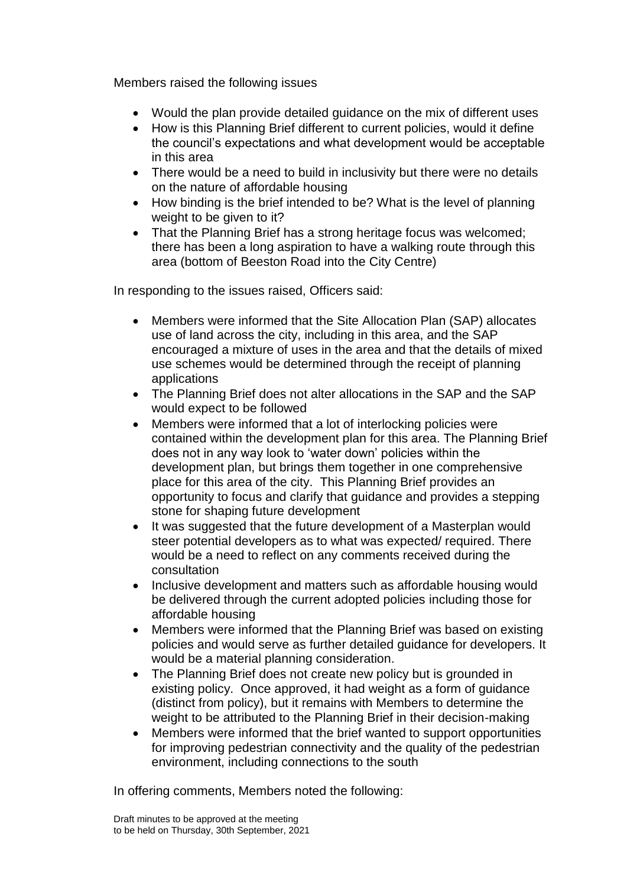Members raised the following issues

- Would the plan provide detailed guidance on the mix of different uses
- How is this Planning Brief different to current policies, would it define the council's expectations and what development would be acceptable in this area
- There would be a need to build in inclusivity but there were no details on the nature of affordable housing
- How binding is the brief intended to be? What is the level of planning weight to be given to it?
- That the Planning Brief has a strong heritage focus was welcomed: there has been a long aspiration to have a walking route through this area (bottom of Beeston Road into the City Centre)

In responding to the issues raised, Officers said:

- Members were informed that the Site Allocation Plan (SAP) allocates use of land across the city, including in this area, and the SAP encouraged a mixture of uses in the area and that the details of mixed use schemes would be determined through the receipt of planning applications
- The Planning Brief does not alter allocations in the SAP and the SAP would expect to be followed
- Members were informed that a lot of interlocking policies were contained within the development plan for this area. The Planning Brief does not in any way look to 'water down' policies within the development plan, but brings them together in one comprehensive place for this area of the city. This Planning Brief provides an opportunity to focus and clarify that guidance and provides a stepping stone for shaping future development
- It was suggested that the future development of a Masterplan would steer potential developers as to what was expected/ required. There would be a need to reflect on any comments received during the consultation
- Inclusive development and matters such as affordable housing would be delivered through the current adopted policies including those for affordable housing
- Members were informed that the Planning Brief was based on existing policies and would serve as further detailed guidance for developers. It would be a material planning consideration.
- The Planning Brief does not create new policy but is grounded in existing policy. Once approved, it had weight as a form of guidance (distinct from policy), but it remains with Members to determine the weight to be attributed to the Planning Brief in their decision-making
- Members were informed that the brief wanted to support opportunities for improving pedestrian connectivity and the quality of the pedestrian environment, including connections to the south

In offering comments, Members noted the following: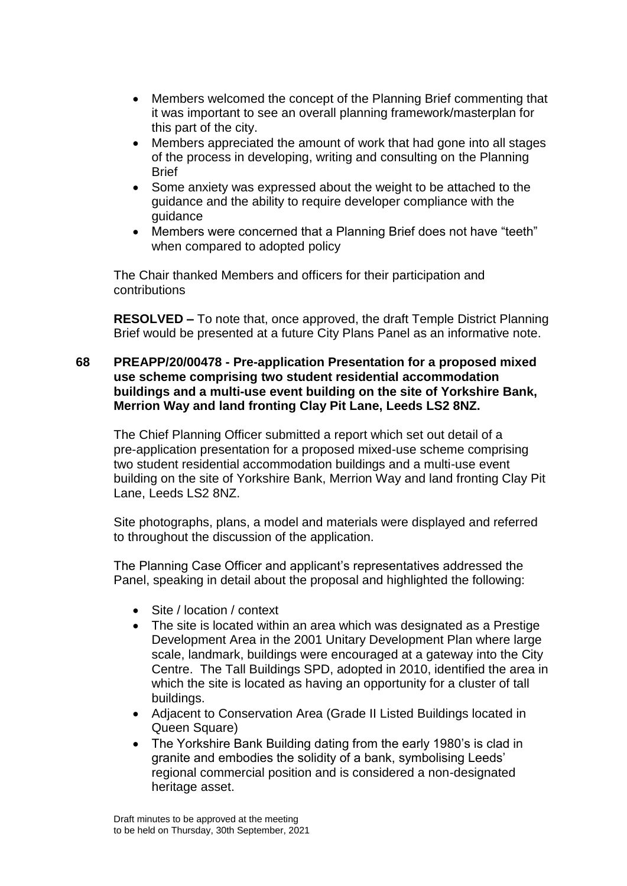- Members welcomed the concept of the Planning Brief commenting that it was important to see an overall planning framework/masterplan for this part of the city.
- Members appreciated the amount of work that had gone into all stages of the process in developing, writing and consulting on the Planning **Brief**
- Some anxiety was expressed about the weight to be attached to the guidance and the ability to require developer compliance with the guidance
- Members were concerned that a Planning Brief does not have "teeth" when compared to adopted policy

The Chair thanked Members and officers for their participation and contributions

**RESOLVED –** To note that, once approved, the draft Temple District Planning Brief would be presented at a future City Plans Panel as an informative note.

#### **68 PREAPP/20/00478 - Pre-application Presentation for a proposed mixed use scheme comprising two student residential accommodation buildings and a multi-use event building on the site of Yorkshire Bank, Merrion Way and land fronting Clay Pit Lane, Leeds LS2 8NZ.**

The Chief Planning Officer submitted a report which set out detail of a pre-application presentation for a proposed mixed-use scheme comprising two student residential accommodation buildings and a multi-use event building on the site of Yorkshire Bank, Merrion Way and land fronting Clay Pit Lane, Leeds LS2 8NZ.

Site photographs, plans, a model and materials were displayed and referred to throughout the discussion of the application.

The Planning Case Officer and applicant's representatives addressed the Panel, speaking in detail about the proposal and highlighted the following:

- Site / location / context
- The site is located within an area which was designated as a Prestige Development Area in the 2001 Unitary Development Plan where large scale, landmark, buildings were encouraged at a gateway into the City Centre. The Tall Buildings SPD, adopted in 2010, identified the area in which the site is located as having an opportunity for a cluster of tall buildings.
- Adjacent to Conservation Area (Grade II Listed Buildings located in Queen Square)
- The Yorkshire Bank Building dating from the early 1980's is clad in granite and embodies the solidity of a bank, symbolising Leeds' regional commercial position and is considered a non-designated heritage asset.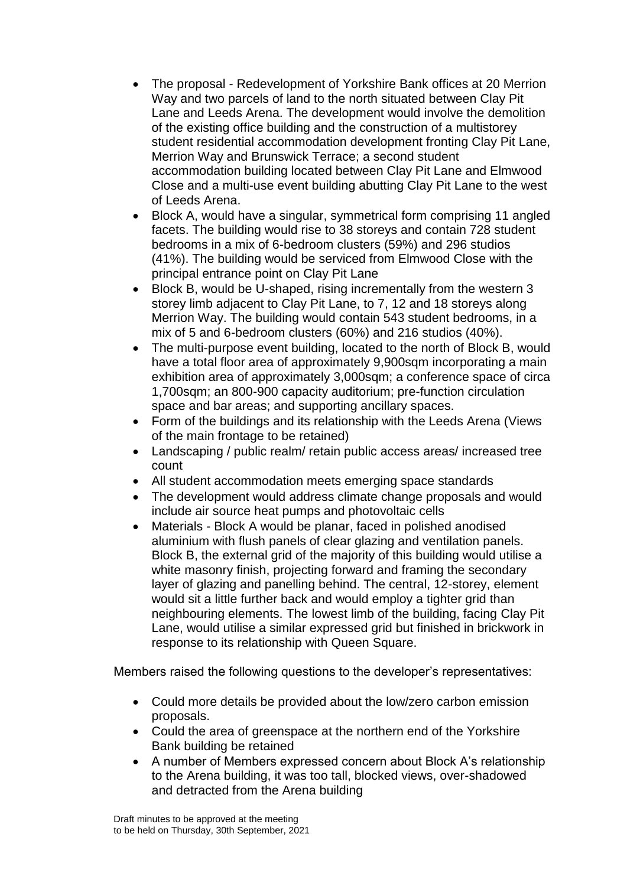- The proposal Redevelopment of Yorkshire Bank offices at 20 Merrion Way and two parcels of land to the north situated between Clay Pit Lane and Leeds Arena. The development would involve the demolition of the existing office building and the construction of a multistorey student residential accommodation development fronting Clay Pit Lane, Merrion Way and Brunswick Terrace; a second student accommodation building located between Clay Pit Lane and Elmwood Close and a multi-use event building abutting Clay Pit Lane to the west of Leeds Arena.
- Block A, would have a singular, symmetrical form comprising 11 angled facets. The building would rise to 38 storeys and contain 728 student bedrooms in a mix of 6-bedroom clusters (59%) and 296 studios (41%). The building would be serviced from Elmwood Close with the principal entrance point on Clay Pit Lane
- Block B, would be U-shaped, rising incrementally from the western 3 storey limb adjacent to Clay Pit Lane, to 7, 12 and 18 storeys along Merrion Way. The building would contain 543 student bedrooms, in a mix of 5 and 6-bedroom clusters (60%) and 216 studios (40%).
- The multi-purpose event building, located to the north of Block B, would have a total floor area of approximately 9,900sqm incorporating a main exhibition area of approximately 3,000sqm; a conference space of circa 1,700sqm; an 800-900 capacity auditorium; pre-function circulation space and bar areas; and supporting ancillary spaces.
- Form of the buildings and its relationship with the Leeds Arena (Views of the main frontage to be retained)
- Landscaping / public realm/ retain public access areas/ increased tree count
- All student accommodation meets emerging space standards
- The development would address climate change proposals and would include air source heat pumps and photovoltaic cells
- Materials Block A would be planar, faced in polished anodised aluminium with flush panels of clear glazing and ventilation panels. Block B, the external grid of the majority of this building would utilise a white masonry finish, projecting forward and framing the secondary layer of glazing and panelling behind. The central, 12-storey, element would sit a little further back and would employ a tighter grid than neighbouring elements. The lowest limb of the building, facing Clay Pit Lane, would utilise a similar expressed grid but finished in brickwork in response to its relationship with Queen Square.

Members raised the following questions to the developer's representatives:

- Could more details be provided about the low/zero carbon emission proposals.
- Could the area of greenspace at the northern end of the Yorkshire Bank building be retained
- A number of Members expressed concern about Block A's relationship to the Arena building, it was too tall, blocked views, over-shadowed and detracted from the Arena building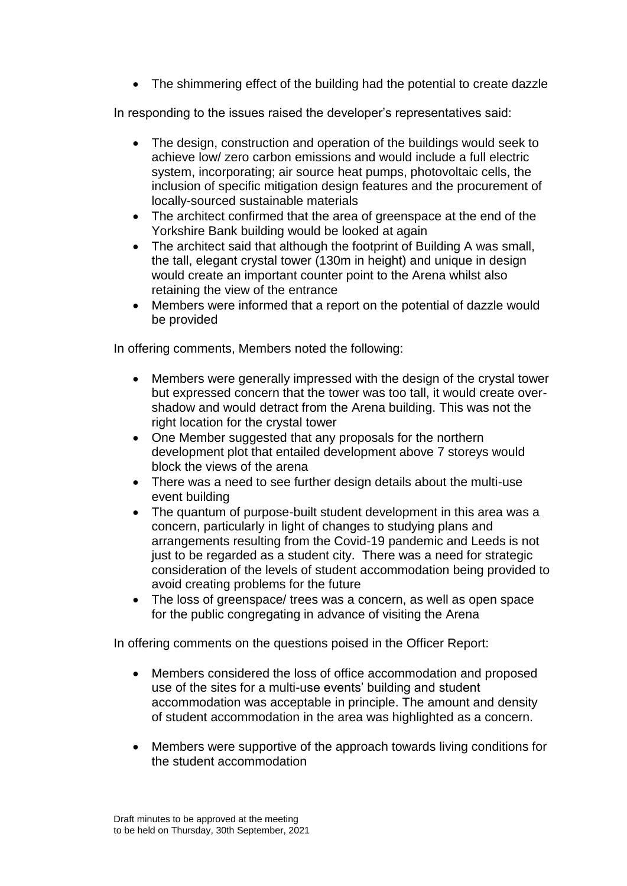• The shimmering effect of the building had the potential to create dazzle

In responding to the issues raised the developer's representatives said:

- The design, construction and operation of the buildings would seek to achieve low/ zero carbon emissions and would include a full electric system, incorporating; air source heat pumps, photovoltaic cells, the inclusion of specific mitigation design features and the procurement of locally-sourced sustainable materials
- The architect confirmed that the area of greenspace at the end of the Yorkshire Bank building would be looked at again
- The architect said that although the footprint of Building A was small, the tall, elegant crystal tower (130m in height) and unique in design would create an important counter point to the Arena whilst also retaining the view of the entrance
- Members were informed that a report on the potential of dazzle would be provided

In offering comments, Members noted the following:

- Members were generally impressed with the design of the crystal tower but expressed concern that the tower was too tall, it would create overshadow and would detract from the Arena building. This was not the right location for the crystal tower
- One Member suggested that any proposals for the northern development plot that entailed development above 7 storeys would block the views of the arena
- There was a need to see further design details about the multi-use event building
- The quantum of purpose-built student development in this area was a concern, particularly in light of changes to studying plans and arrangements resulting from the Covid-19 pandemic and Leeds is not just to be regarded as a student city. There was a need for strategic consideration of the levels of student accommodation being provided to avoid creating problems for the future
- The loss of greenspace/ trees was a concern, as well as open space for the public congregating in advance of visiting the Arena

In offering comments on the questions poised in the Officer Report:

- Members considered the loss of office accommodation and proposed use of the sites for a multi-use events' building and student accommodation was acceptable in principle. The amount and density of student accommodation in the area was highlighted as a concern.
- Members were supportive of the approach towards living conditions for the student accommodation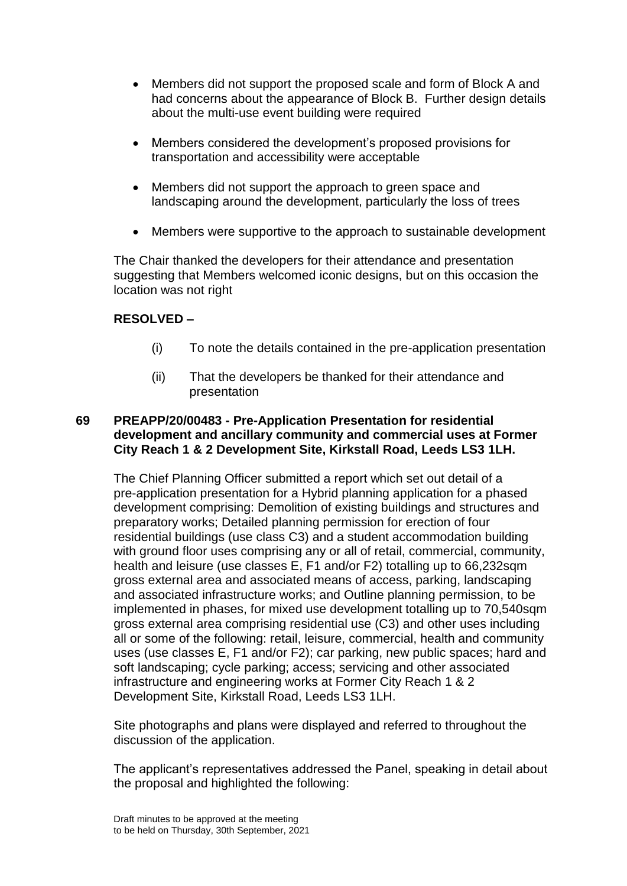- Members did not support the proposed scale and form of Block A and had concerns about the appearance of Block B. Further design details about the multi-use event building were required
- Members considered the development's proposed provisions for transportation and accessibility were acceptable
- Members did not support the approach to green space and landscaping around the development, particularly the loss of trees
- Members were supportive to the approach to sustainable development

The Chair thanked the developers for their attendance and presentation suggesting that Members welcomed iconic designs, but on this occasion the location was not right

### **RESOLVED –**

- (i) To note the details contained in the pre-application presentation
- (ii) That the developers be thanked for their attendance and presentation

# **69 PREAPP/20/00483 - Pre-Application Presentation for residential development and ancillary community and commercial uses at Former City Reach 1 & 2 Development Site, Kirkstall Road, Leeds LS3 1LH.**

The Chief Planning Officer submitted a report which set out detail of a pre-application presentation for a Hybrid planning application for a phased development comprising: Demolition of existing buildings and structures and preparatory works; Detailed planning permission for erection of four residential buildings (use class C3) and a student accommodation building with ground floor uses comprising any or all of retail, commercial, community, health and leisure (use classes E, F1 and/or F2) totalling up to 66,232sqm gross external area and associated means of access, parking, landscaping and associated infrastructure works; and Outline planning permission, to be implemented in phases, for mixed use development totalling up to 70,540sqm gross external area comprising residential use (C3) and other uses including all or some of the following: retail, leisure, commercial, health and community uses (use classes E, F1 and/or F2); car parking, new public spaces; hard and soft landscaping; cycle parking; access; servicing and other associated infrastructure and engineering works at Former City Reach 1 & 2 Development Site, Kirkstall Road, Leeds LS3 1LH.

Site photographs and plans were displayed and referred to throughout the discussion of the application.

The applicant's representatives addressed the Panel, speaking in detail about the proposal and highlighted the following: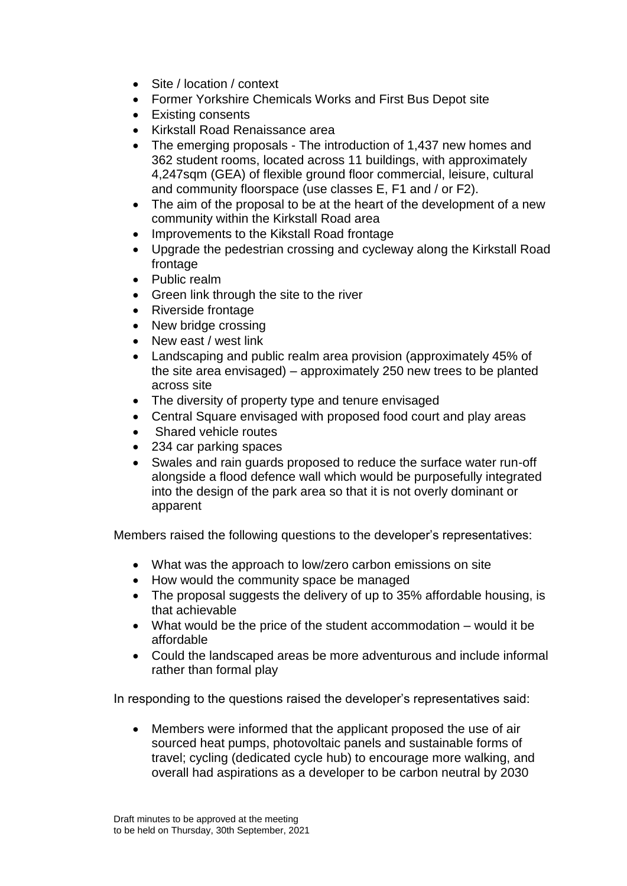- Site / location / context
- Former Yorkshire Chemicals Works and First Bus Depot site
- Existing consents
- Kirkstall Road Renaissance area
- The emerging proposals The introduction of 1,437 new homes and 362 student rooms, located across 11 buildings, with approximately 4,247sqm (GEA) of flexible ground floor commercial, leisure, cultural and community floorspace (use classes E, F1 and / or F2).
- The aim of the proposal to be at the heart of the development of a new community within the Kirkstall Road area
- Improvements to the Kikstall Road frontage
- Upgrade the pedestrian crossing and cycleway along the Kirkstall Road frontage
- Public realm
- Green link through the site to the river
- Riverside frontage
- New bridge crossing
- New east / west link
- Landscaping and public realm area provision (approximately 45% of the site area envisaged) – approximately 250 new trees to be planted across site
- The diversity of property type and tenure envisaged
- Central Square envisaged with proposed food court and play areas
- Shared vehicle routes
- 234 car parking spaces
- Swales and rain guards proposed to reduce the surface water run-off alongside a flood defence wall which would be purposefully integrated into the design of the park area so that it is not overly dominant or apparent

Members raised the following questions to the developer's representatives:

- What was the approach to low/zero carbon emissions on site
- How would the community space be managed
- The proposal suggests the delivery of up to 35% affordable housing, is that achievable
- What would be the price of the student accommodation would it be affordable
- Could the landscaped areas be more adventurous and include informal rather than formal play

In responding to the questions raised the developer's representatives said:

 Members were informed that the applicant proposed the use of air sourced heat pumps, photovoltaic panels and sustainable forms of travel; cycling (dedicated cycle hub) to encourage more walking, and overall had aspirations as a developer to be carbon neutral by 2030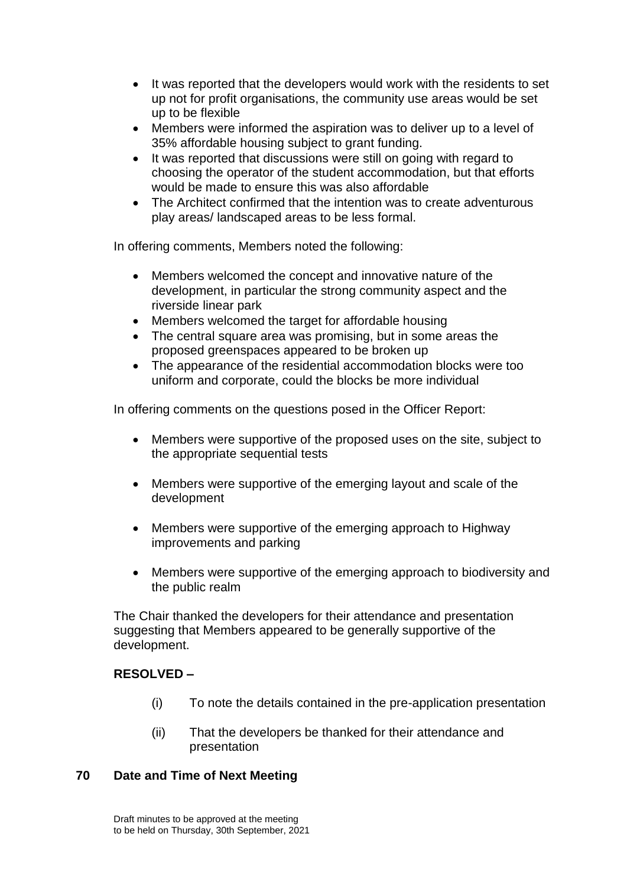- It was reported that the developers would work with the residents to set up not for profit organisations, the community use areas would be set up to be flexible
- Members were informed the aspiration was to deliver up to a level of 35% affordable housing subject to grant funding.
- It was reported that discussions were still on going with regard to choosing the operator of the student accommodation, but that efforts would be made to ensure this was also affordable
- The Architect confirmed that the intention was to create adventurous play areas/ landscaped areas to be less formal.

In offering comments, Members noted the following:

- Members welcomed the concept and innovative nature of the development, in particular the strong community aspect and the riverside linear park
- Members welcomed the target for affordable housing
- The central square area was promising, but in some areas the proposed greenspaces appeared to be broken up
- The appearance of the residential accommodation blocks were too uniform and corporate, could the blocks be more individual

In offering comments on the questions posed in the Officer Report:

- Members were supportive of the proposed uses on the site, subject to the appropriate sequential tests
- Members were supportive of the emerging layout and scale of the development
- Members were supportive of the emerging approach to Highway improvements and parking
- Members were supportive of the emerging approach to biodiversity and the public realm

The Chair thanked the developers for their attendance and presentation suggesting that Members appeared to be generally supportive of the development.

# **RESOLVED –**

- (i) To note the details contained in the pre-application presentation
- (ii) That the developers be thanked for their attendance and presentation

### **70 Date and Time of Next Meeting**

Draft minutes to be approved at the meeting to be held on Thursday, 30th September, 2021